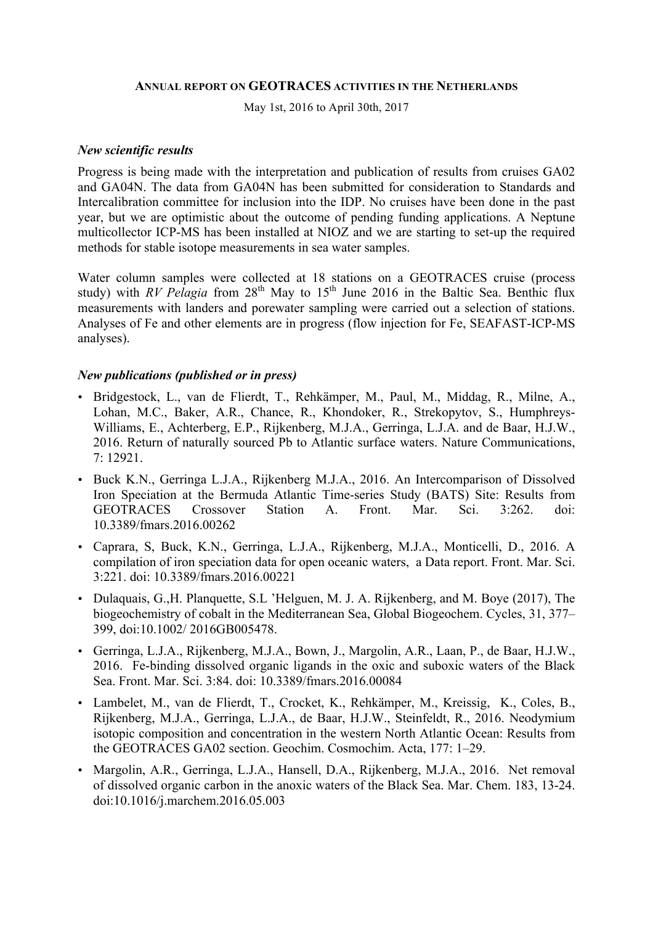#### **ANNUAL REPORT ON GEOTRACES ACTIVITIES IN THE NETHERLANDS**

May 1st, 2016 to April 30th, 2017

#### *New scientific results*

Progress is being made with the interpretation and publication of results from cruises GA02 and GA04N. The data from GA04N has been submitted for consideration to Standards and Intercalibration committee for inclusion into the IDP. No cruises have been done in the past year, but we are optimistic about the outcome of pending funding applications. A Neptune multicollector ICP-MS has been installed at NIOZ and we are starting to set-up the required methods for stable isotope measurements in sea water samples.

Water column samples were collected at 18 stations on a GEOTRACES cruise (process study) with *RV Pelagia* from  $28<sup>th</sup>$  May to  $15<sup>th</sup>$  June 2016 in the Baltic Sea. Benthic flux measurements with landers and porewater sampling were carried out a selection of stations. Analyses of Fe and other elements are in progress (flow injection for Fe, SEAFAST-ICP-MS analyses).

### *New publications (published or in press)*

- Bridgestock, L., van de Flierdt, T., Rehkämper, M., Paul, M., Middag, R., Milne, A., Lohan, M.C., Baker, A.R., Chance, R., Khondoker, R., Strekopytov, S., Humphreys-Williams, E., Achterberg, E.P., Rijkenberg, M.J.A., Gerringa, L.J.A. and de Baar, H.J.W., 2016. Return of naturally sourced Pb to Atlantic surface waters. Nature Communications, 7: 12921.
- Buck K.N., Gerringa L.J.A., Rijkenberg M.J.A., 2016. An Intercomparison of Dissolved Iron Speciation at the Bermuda Atlantic Time-series Study (BATS) Site: Results from GEOTRACES Crossover Station A. Front. Mar. Sci. 3:262. doi: 10.3389/fmars.2016.00262
- Caprara, S, Buck, K.N., Gerringa, L.J.A., Rijkenberg, M.J.A., Monticelli, D., 2016. A compilation of iron speciation data for open oceanic waters, a Data report. Front. Mar. Sci. 3:221. doi: 10.3389/fmars.2016.00221
- Dulaquais, G.,H. Planquette, S.L 'Helguen, M. J. A. Rijkenberg, and M. Boye (2017), The biogeochemistry of cobalt in the Mediterranean Sea, Global Biogeochem. Cycles, 31, 377– 399, doi:10.1002/ 2016GB005478.
- Gerringa, L.J.A., Rijkenberg, M.J.A., Bown, J., Margolin, A.R., Laan, P., de Baar, H.J.W., 2016. Fe-binding dissolved organic ligands in the oxic and suboxic waters of the Black Sea. Front. Mar. Sci. 3:84. doi: 10.3389/fmars.2016.00084
- Lambelet, M., van de Flierdt, T., Crocket, K., Rehkämper, M., Kreissig, K., Coles, B., Rijkenberg, M.J.A., Gerringa, L.J.A., de Baar, H.J.W., Steinfeldt, R., 2016. Neodymium isotopic composition and concentration in the western North Atlantic Ocean: Results from the GEOTRACES GA02 section. Geochim. Cosmochim. Acta, 177: 1–29.
- Margolin, A.R., Gerringa, L.J.A., Hansell, D.A., Rijkenberg, M.J.A., 2016. Net removal of dissolved organic carbon in the anoxic waters of the Black Sea. Mar. Chem. 183, 13-24. doi:10.1016/j.marchem.2016.05.003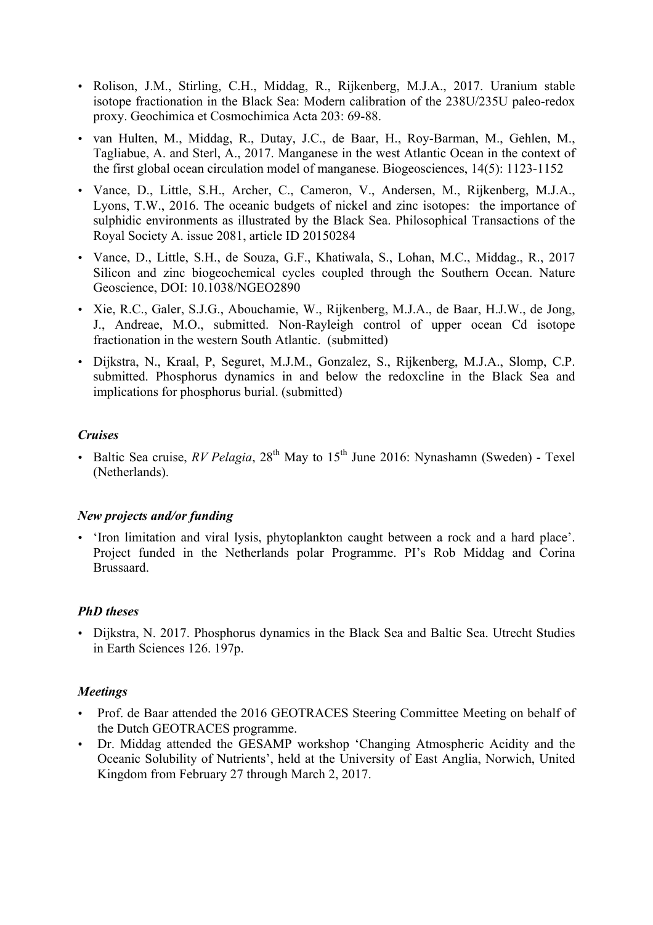- Rolison, J.M., Stirling, C.H., Middag, R., Rijkenberg, M.J.A., 2017. Uranium stable isotope fractionation in the Black Sea: Modern calibration of the 238U/235U paleo-redox proxy. Geochimica et Cosmochimica Acta 203: 69-88.
- van Hulten, M., Middag, R., Dutay, J.C., de Baar, H., Roy-Barman, M., Gehlen, M., Tagliabue, A. and Sterl, A., 2017. Manganese in the west Atlantic Ocean in the context of the first global ocean circulation model of manganese. Biogeosciences, 14(5): 1123-1152
- Vance, D., Little, S.H., Archer, C., Cameron, V., Andersen, M., Rijkenberg, M.J.A., Lyons, T.W., 2016. The oceanic budgets of nickel and zinc isotopes: the importance of sulphidic environments as illustrated by the Black Sea. Philosophical Transactions of the Royal Society A. issue 2081, article ID 20150284
- Vance, D., Little, S.H., de Souza, G.F., Khatiwala, S., Lohan, M.C., Middag., R., 2017 Silicon and zinc biogeochemical cycles coupled through the Southern Ocean. Nature Geoscience, DOI: 10.1038/NGEO2890
- Xie, R.C., Galer, S.J.G., Abouchamie, W., Rijkenberg, M.J.A., de Baar, H.J.W., de Jong, J., Andreae, M.O., submitted. Non-Rayleigh control of upper ocean Cd isotope fractionation in the western South Atlantic. (submitted)
- Dijkstra, N., Kraal, P, Seguret, M.J.M., Gonzalez, S., Rijkenberg, M.J.A., Slomp, C.P. submitted. Phosphorus dynamics in and below the redoxcline in the Black Sea and implications for phosphorus burial. (submitted)

# *Cruises*

• Baltic Sea cruise,  $RV$  Pelagia,  $28<sup>th</sup>$  May to  $15<sup>th</sup>$  June 2016: Nynashamn (Sweden) - Texel (Netherlands).

# *New projects and/or funding*

• 'Iron limitation and viral lysis, phytoplankton caught between a rock and a hard place'. Project funded in the Netherlands polar Programme. PI's Rob Middag and Corina Brussaard.

# *PhD theses*

• Dijkstra, N. 2017. Phosphorus dynamics in the Black Sea and Baltic Sea. Utrecht Studies in Earth Sciences 126. 197p.

#### *Meetings*

- Prof. de Baar attended the 2016 GEOTRACES Steering Committee Meeting on behalf of the Dutch GEOTRACES programme.
- Dr. Middag attended the GESAMP workshop 'Changing Atmospheric Acidity and the Oceanic Solubility of Nutrients', held at the University of East Anglia, Norwich, United Kingdom from February 27 through March 2, 2017.